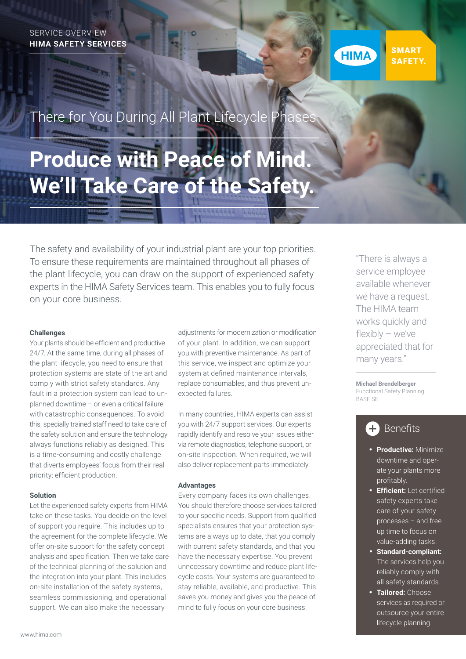

**SMART SAFETY.** 

## There for You During All Plant Lifecycle Phas

# **Produce with Peace of Mind. We'll Take Care of the Safety.**

The safety and availability of your industrial plant are your top priorities. To ensure these requirements are maintained throughout all phases of the plant lifecycle, you can draw on the support of experienced safety experts in the HIMA Safety Services team. This enables you to fully focus on your core business.

#### **Challenges**

Your plants should be efficient and productive 24/7. At the same time, during all phases of the plant lifecycle, you need to ensure that protection systems are state of the art and comply with strict safety standards. Any fault in a protection system can lead to unplanned downtime – or even a critical failure with catastrophic consequences. To avoid this, specially trained staff need to take care of the safety solution and ensure the technology always functions reliably as designed. This is a time-consuming and costly challenge that diverts employees' focus from their real priority: efficient production.

#### **Solution**

Let the experienced safety experts from HIMA take on these tasks. You decide on the level of support you require. This includes up to the agreement for the complete lifecycle. We offer on-site support for the safety concept analysis and specification. Then we take care of the technical planning of the solution and the integration into your plant. This includes on-site installation of the safety systems, seamless commissioning, and operational support. We can also make the necessary

adjustments for modernization or modification of your plant. In addition, we can support you with preventive maintenance. As part of this service, we inspect and optimize your system at defined maintenance intervals, replace consumables, and thus prevent unexpected failures.

In many countries, HIMA experts can assist you with 24/7 support services. Our experts rapidly identify and resolve your issues either via remote diagnostics, telephone support, or on-site inspection. When required, we will also deliver replacement parts immediately.

#### **Advantages**

Every company faces its own challenges. You should therefore choose services tailored to your specific needs. Support from qualified specialists ensures that your protection systems are always up to date, that you comply with current safety standards, and that you have the necessary expertise. You prevent unnecessary downtime and reduce plant lifecycle costs. Your systems are guaranteed to stay reliable, available, and productive. This saves you money and gives you the peace of mind to fully focus on your core business.

"There is always a service employee available whenever we have a request. The HIMA team works quickly and flexibly – we've appreciated that for many years."

**Michael Brendelberger** Functional Safety Planning BASF SE

## Benefits

- **Productive:** Minimize downtime and operate your plants more profitably.
- **Efficient:** Let certified safety experts take care of your safety processes – and free up time to focus on value-adding tasks.
- **Standard-compliant:**  The services help you reliably comply with all safety standards.
- **Tailored:** Choose services as required or outsource your entire lifecycle planning.